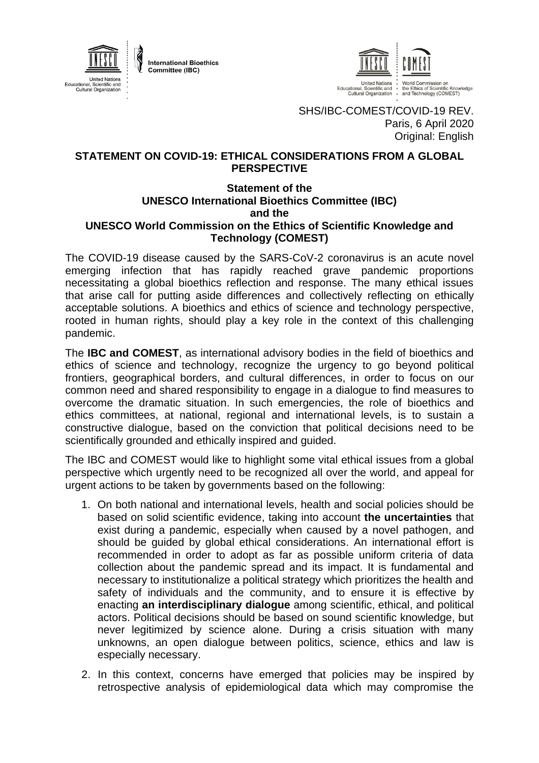

**International Bioethics** Committee (IBC)



SHS/IBC-COMEST/COVID-19 REV. Paris, 6 April 2020 Original: English

## **STATEMENT ON COVID-19: ETHICAL CONSIDERATIONS FROM A GLOBAL PERSPECTIVE**

## **Statement of the UNESCO International Bioethics Committee (IBC) and the UNESCO World Commission on the Ethics of Scientific Knowledge and Technology (COMEST)**

The COVID-19 disease caused by the SARS-CoV-2 coronavirus is an acute novel emerging infection that has rapidly reached grave pandemic proportions necessitating a global bioethics reflection and response. The many ethical issues that arise call for putting aside differences and collectively reflecting on ethically acceptable solutions. A bioethics and ethics of science and technology perspective, rooted in human rights, should play a key role in the context of this challenging pandemic.

The **IBC and COMEST**, as international advisory bodies in the field of bioethics and ethics of science and technology, recognize the urgency to go beyond political frontiers, geographical borders, and cultural differences, in order to focus on our common need and shared responsibility to engage in a dialogue to find measures to overcome the dramatic situation. In such emergencies, the role of bioethics and ethics committees, at national, regional and international levels, is to sustain a constructive dialogue, based on the conviction that political decisions need to be scientifically grounded and ethically inspired and guided.

The IBC and COMEST would like to highlight some vital ethical issues from a global perspective which urgently need to be recognized all over the world, and appeal for urgent actions to be taken by governments based on the following:

- 1. On both national and international levels, health and social policies should be based on solid scientific evidence, taking into account **the uncertainties** that exist during a pandemic, especially when caused by a novel pathogen, and should be guided by global ethical considerations. An international effort is recommended in order to adopt as far as possible uniform criteria of data collection about the pandemic spread and its impact. It is fundamental and necessary to institutionalize a political strategy which prioritizes the health and safety of individuals and the community, and to ensure it is effective by enacting **an interdisciplinary dialogue** among scientific, ethical, and political actors. Political decisions should be based on sound scientific knowledge, but never legitimized by science alone. During a crisis situation with many unknowns, an open dialogue between politics, science, ethics and law is especially necessary.
- 2. In this context, concerns have emerged that policies may be inspired by retrospective analysis of epidemiological data which may compromise the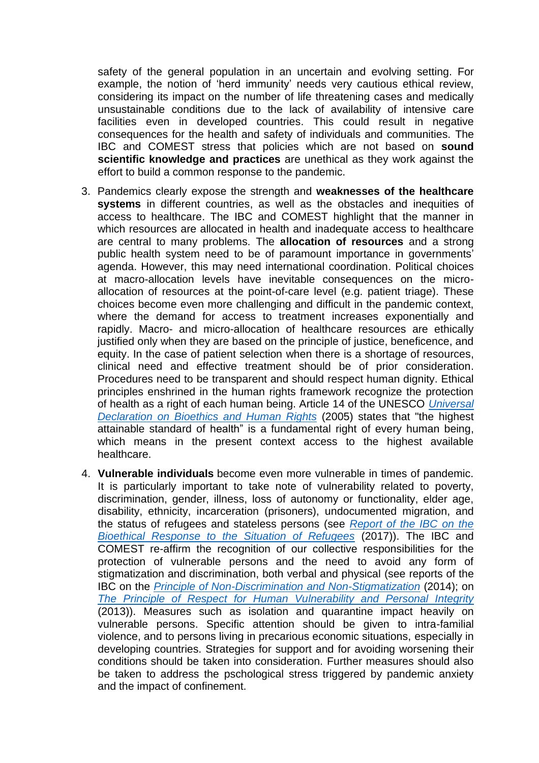safety of the general population in an uncertain and evolving setting. For example, the notion of 'herd immunity' needs very cautious ethical review, considering its impact on the number of life threatening cases and medically unsustainable conditions due to the lack of availability of intensive care facilities even in developed countries. This could result in negative consequences for the health and safety of individuals and communities. The IBC and COMEST stress that policies which are not based on **sound scientific knowledge and practices** are unethical as they work against the effort to build a common response to the pandemic.

- 3. Pandemics clearly expose the strength and **weaknesses of the healthcare systems** in different countries, as well as the obstacles and inequities of access to healthcare. The IBC and COMEST highlight that the manner in which resources are allocated in health and inadequate access to healthcare are central to many problems. The **allocation of resources** and a strong public health system need to be of paramount importance in governments' agenda. However, this may need international coordination. Political choices at macro-allocation levels have inevitable consequences on the microallocation of resources at the point-of-care level (e.g. patient triage). These choices become even more challenging and difficult in the pandemic context, where the demand for access to treatment increases exponentially and rapidly. Macro- and micro-allocation of healthcare resources are ethically justified only when they are based on the principle of justice, beneficence, and equity. In the case of patient selection when there is a shortage of resources, clinical need and effective treatment should be of prior consideration. Procedures need to be transparent and should respect human dignity. Ethical principles enshrined in the human rights framework recognize the protection of health as a right of each human being. Article 14 of the UNESCO *[Universal](https://en.unesco.org/themes/ethics-science-and-technology/bioethics-and-human-rights)  [Declaration on Bioethics and Human Rights](https://en.unesco.org/themes/ethics-science-and-technology/bioethics-and-human-rights)* (2005) states that "the highest attainable standard of health" is a fundamental right of every human being, which means in the present context access to the highest available healthcare.
- 4. **Vulnerable individuals** become even more vulnerable in times of pandemic. It is particularly important to take note of vulnerability related to poverty, discrimination, gender, illness, loss of autonomy or functionality, elder age, disability, ethnicity, incarceration (prisoners), undocumented migration, and the status of refugees and stateless persons (see *[Report of the IBC on the](https://unesdoc.unesco.org/ark:/48223/pf0000248721)  [Bioethical Response to the Situation of Refugees](https://unesdoc.unesco.org/ark:/48223/pf0000248721)* (2017)). The IBC and COMEST re-affirm the recognition of our collective responsibilities for the protection of vulnerable persons and the need to avoid any form of stigmatization and discrimination, both verbal and physical (see reports of the IBC on the *[Principle of Non-Discrimination and Non-Stigmatization](https://unesdoc.unesco.org/ark:/48223/pf0000221196)* (2014); on *[The Principle of Respect for Human Vulnerability and Personal Integrity](https://unesdoc.unesco.org/ark:/48223/pf0000219494)* (2013)). Measures such as isolation and quarantine impact heavily on vulnerable persons. Specific attention should be given to intra-familial violence, and to persons living in precarious economic situations, especially in developing countries. Strategies for support and for avoiding worsening their conditions should be taken into consideration. Further measures should also be taken to address the pschological stress triggered by pandemic anxiety and the impact of confinement.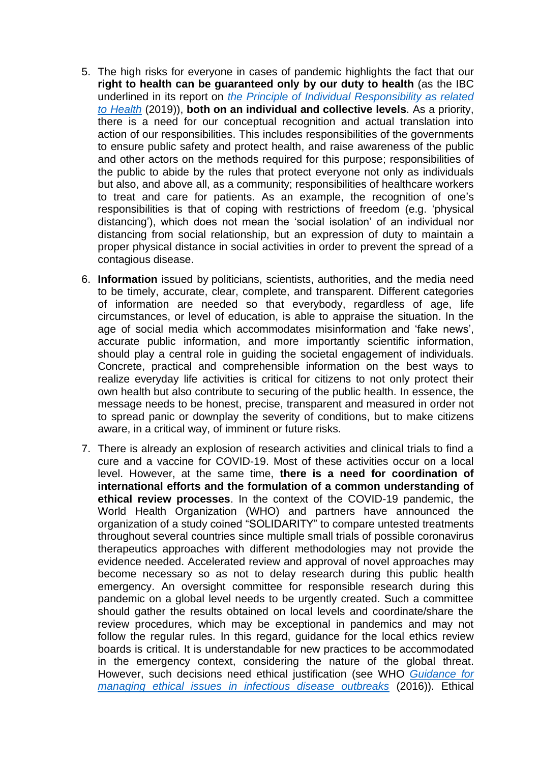- 5. The high risks for everyone in cases of pandemic highlights the fact that our **right to health can be guaranteed only by our duty to health** (as the IBC underlined in its report on *[the Principle of Individual Responsibility as related](https://unesdoc.unesco.org/ark:/48223/pf0000367824)  [to Health](https://unesdoc.unesco.org/ark:/48223/pf0000367824)* (2019)), **both on an individual and collective levels**. As a priority, there is a need for our conceptual recognition and actual translation into action of our responsibilities. This includes responsibilities of the governments to ensure public safety and protect health, and raise awareness of the public and other actors on the methods required for this purpose; responsibilities of the public to abide by the rules that protect everyone not only as individuals but also, and above all, as a community; responsibilities of healthcare workers to treat and care for patients. As an example, the recognition of one's responsibilities is that of coping with restrictions of freedom (e.g. 'physical distancing'), which does not mean the 'social isolation' of an individual nor distancing from social relationship, but an expression of duty to maintain a proper physical distance in social activities in order to prevent the spread of a contagious disease.
- 6. **Information** issued by politicians, scientists, authorities, and the media need to be timely, accurate, clear, complete, and transparent. Different categories of information are needed so that everybody, regardless of age, life circumstances, or level of education, is able to appraise the situation. In the age of social media which accommodates misinformation and 'fake news', accurate public information, and more importantly scientific information, should play a central role in guiding the societal engagement of individuals. Concrete, practical and comprehensible information on the best ways to realize everyday life activities is critical for citizens to not only protect their own health but also contribute to securing of the public health. In essence, the message needs to be honest, precise, transparent and measured in order not to spread panic or downplay the severity of conditions, but to make citizens aware, in a critical way, of imminent or future risks.
- 7. There is already an explosion of research activities and clinical trials to find a cure and a vaccine for COVID-19. Most of these activities occur on a local level. However, at the same time, **there is a need for coordination of international efforts and the formulation of a common understanding of ethical review processes**. In the context of the COVID-19 pandemic, the World Health Organization (WHO) and partners have announced the organization of a study coined "SOLIDARITY" to compare untested treatments throughout several countries since multiple small trials of possible coronavirus therapeutics approaches with different methodologies may not provide the evidence needed. Accelerated review and approval of novel approaches may become necessary so as not to delay research during this public health emergency. An oversight committee for responsible research during this pandemic on a global level needs to be urgently created. Such a committee should gather the results obtained on local levels and coordinate/share the review procedures, which may be exceptional in pandemics and may not follow the regular rules. In this regard, guidance for the local ethics review boards is critical. It is understandable for new practices to be accommodated in the emergency context, considering the nature of the global threat. However, such decisions need ethical justification (see WHO *[Guidance for](https://apps.who.int/iris/handle/10665/250580)  [managing ethical issues in infectious disease outbreaks](https://apps.who.int/iris/handle/10665/250580)* (2016)). Ethical